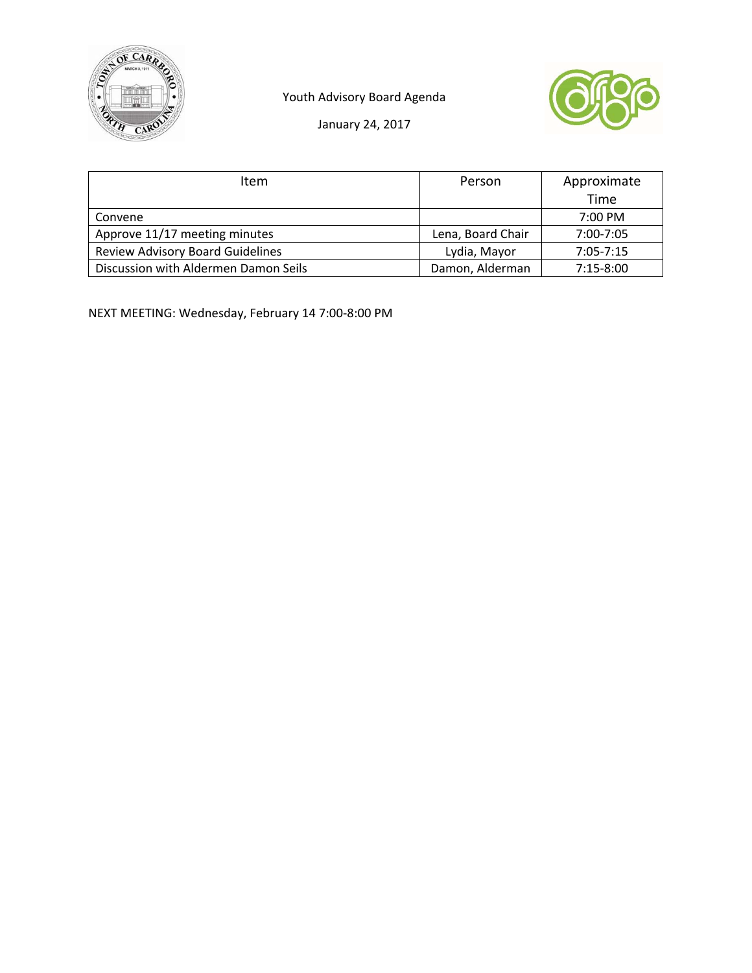





January 24, 2017

| <b>Item</b>                             | Person            | Approximate       |
|-----------------------------------------|-------------------|-------------------|
|                                         |                   | Time              |
| Convene                                 |                   | $7:00 \text{ PM}$ |
| Approve 11/17 meeting minutes           | Lena, Board Chair | 7:00-7:05         |
| <b>Review Advisory Board Guidelines</b> | Lydia, Mayor      | $7:05 - 7:15$     |
| Discussion with Aldermen Damon Seils    | Damon, Alderman   | $7:15-8:00$       |

NEXT MEETING: Wednesday, February 14 7:00‐8:00 PM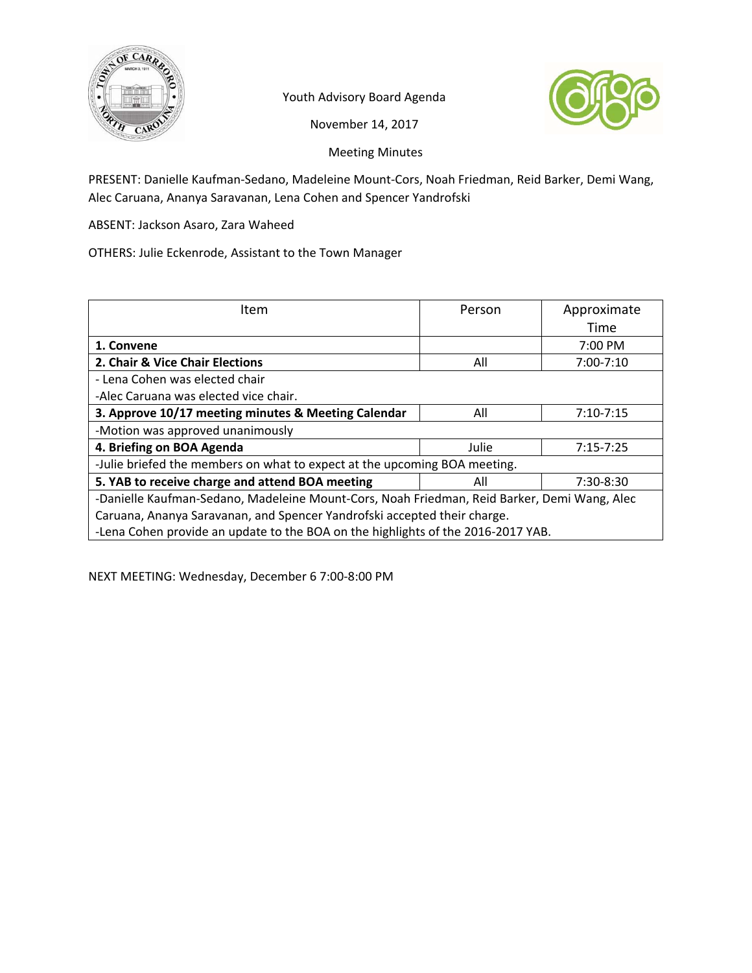

Youth Advisory Board Agenda



November 14, 2017

Meeting Minutes

PRESENT: Danielle Kaufman‐Sedano, Madeleine Mount‐Cors, Noah Friedman, Reid Barker, Demi Wang, Alec Caruana, Ananya Saravanan, Lena Cohen and Spencer Yandrofski

ABSENT: Jackson Asaro, Zara Waheed

OTHERS: Julie Eckenrode, Assistant to the Town Manager

| Item                                                                                        | Person | Approximate       |  |
|---------------------------------------------------------------------------------------------|--------|-------------------|--|
|                                                                                             |        | Time              |  |
| 1. Convene                                                                                  |        | $7:00 \text{ PM}$ |  |
| 2. Chair & Vice Chair Elections                                                             | All    | $7:00 - 7:10$     |  |
| - Lena Cohen was elected chair                                                              |        |                   |  |
| -Alec Caruana was elected vice chair.                                                       |        |                   |  |
| 3. Approve 10/17 meeting minutes & Meeting Calendar                                         | All    | $7:10-7:15$       |  |
| -Motion was approved unanimously                                                            |        |                   |  |
| 4. Briefing on BOA Agenda                                                                   | Julie  | $7:15 - 7:25$     |  |
| -Julie briefed the members on what to expect at the upcoming BOA meeting.                   |        |                   |  |
| 5. YAB to receive charge and attend BOA meeting                                             | All    | 7:30-8:30         |  |
| -Danielle Kaufman-Sedano, Madeleine Mount-Cors, Noah Friedman, Reid Barker, Demi Wang, Alec |        |                   |  |
| Caruana, Ananya Saravanan, and Spencer Yandrofski accepted their charge.                    |        |                   |  |
| -Lena Cohen provide an update to the BOA on the highlights of the 2016-2017 YAB.            |        |                   |  |

NEXT MEETING: Wednesday, December 6 7:00‐8:00 PM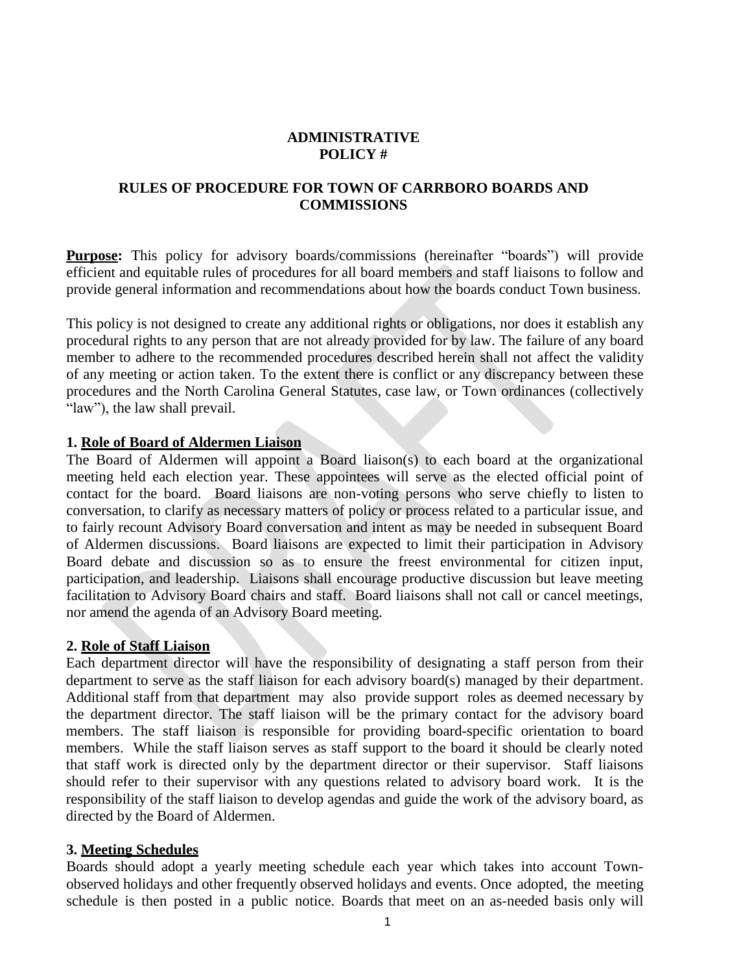### **ADMINISTRATIVE POLICY #**

### **RULES OF PROCEDURE FOR TOWN OF CARRBORO BOARDS AND COMMISSIONS**

**Purpose:** This policy for advisory boards/commissions (hereinafter "boards") will provide efficient and equitable rules of procedures for all board members and staff liaisons to follow and provide general information and recommendations about how the boards conduct Town business.

This policy is not designed to create any additional rights or obligations, nor does it establish any procedural rights to any person that are not already provided for by law. The failure of any board member to adhere to the recommended procedures described herein shall not affect the validity of any meeting or action taken. To the extent there is conflict or any discrepancy between these procedures and the North Carolina General Statutes, case law, or Town ordinances (collectively "law"), the law shall prevail.

#### **1. Role of Board of Aldermen Liaison**

The Board of Aldermen will appoint a Board liaison(s) to each board at the organizational meeting held each election year. These appointees will serve as the elected official point of contact for the board. Board liaisons are non-voting persons who serve chiefly to listen to conversation, to clarify as necessary matters of policy or process related to a particular issue, and to fairly recount Advisory Board conversation and intent as may be needed in subsequent Board of Aldermen discussions. Board liaisons are expected to limit their participation in Advisory Board debate and discussion so as to ensure the freest environmental for citizen input, participation, and leadership. Liaisons shall encourage productive discussion but leave meeting facilitation to Advisory Board chairs and staff. Board liaisons shall not call or cancel meetings, nor amend the agenda of an Advisory Board meeting.

#### **2. Role of Staff Liaison**

Each department director will have the responsibility of designating a staff person from their department to serve as the staff liaison for each advisory board(s) managed by their department. Additional staff from that department may also provide support roles as deemed necessary by the department director. The staff liaison will be the primary contact for the advisory board members. The staff liaison is responsible for providing board-specific orientation to board members. While the staff liaison serves as staff support to the board it should be clearly noted that staff work is directed only by the department director or their supervisor. Staff liaisons should refer to their supervisor with any questions related to advisory board work. It is the responsibility of the staff liaison to develop agendas and guide the work of the advisory board, as directed by the Board of Aldermen.

#### **3. Meeting Schedules**

Boards should adopt a yearly meeting schedule each year which takes into account Townobserved holidays and other frequently observed holidays and events. Once adopted, the meeting schedule is then posted in a public notice. Boards that meet on an as-needed basis only will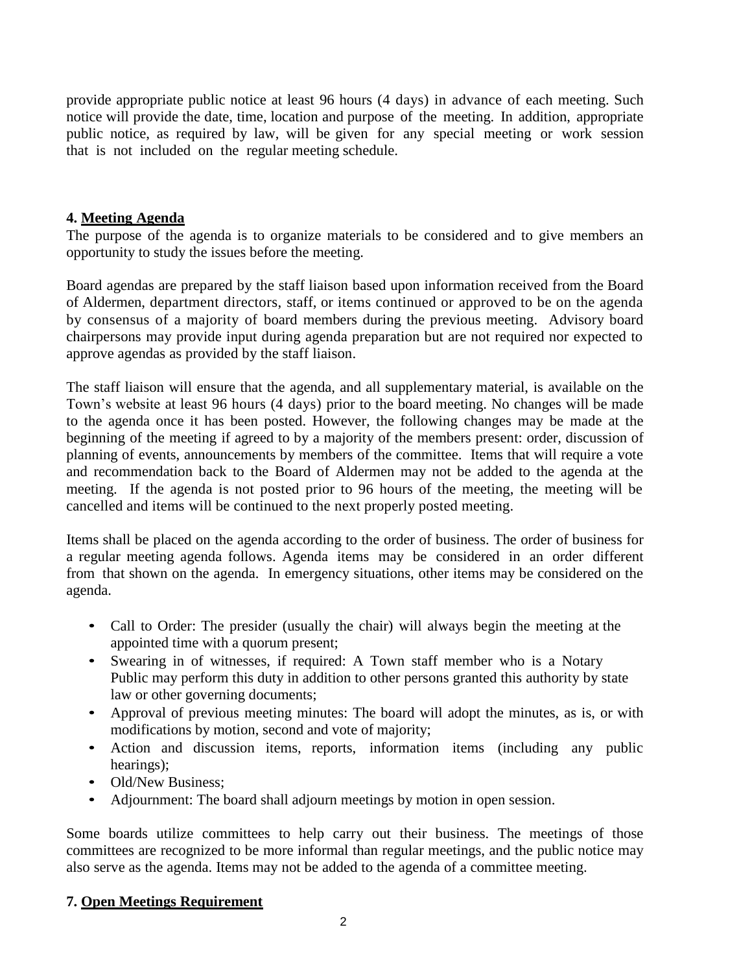provide appropriate public notice at least 96 hours (4 days) in advance of each meeting. Such notice will provide the date, time, location and purpose of the meeting. In addition, appropriate public notice, as required by law, will be given for any special meeting or work session that is not included on the regular meeting schedule.

#### **4. Meeting Agenda**

The purpose of the agenda is to organize materials to be considered and to give members an opportunity to study the issues before the meeting.

Board agendas are prepared by the staff liaison based upon information received from the Board of Aldermen, department directors, staff, or items continued or approved to be on the agenda by consensus of a majority of board members during the previous meeting. Advisory board chairpersons may provide input during agenda preparation but are not required nor expected to approve agendas as provided by the staff liaison.

The staff liaison will ensure that the agenda, and all supplementary material, is available on the Town's website at least 96 hours (4 days) prior to the board meeting. No changes will be made to the agenda once it has been posted. However, the following changes may be made at the beginning of the meeting if agreed to by a majority of the members present: order, discussion of planning of events, announcements by members of the committee. Items that will require a vote and recommendation back to the Board of Aldermen may not be added to the agenda at the meeting. If the agenda is not posted prior to 96 hours of the meeting, the meeting will be cancelled and items will be continued to the next properly posted meeting.

Items shall be placed on the agenda according to the order of business. The order of business for a regular meeting agenda follows. Agenda items may be considered in an order different from that shown on the agenda. In emergency situations, other items may be considered on the agenda.

- Call to Order: The presider (usually the chair) will always begin the meeting at the appointed time with a quorum present;
- Swearing in of witnesses, if required: A Town staff member who is a Notary Public may perform this duty in addition to other persons granted this authority by state law or other governing documents;
- Approval of previous meeting minutes: The board will adopt the minutes, as is, or with modifications by motion, second and vote of majority;
- Action and discussion items, reports, information items (including any public hearings);
- Old/New Business:
- Adjournment: The board shall adjourn meetings by motion in open session.

Some boards utilize committees to help carry out their business. The meetings of those committees are recognized to be more informal than regular meetings, and the public notice may also serve as the agenda. Items may not be added to the agenda of a committee meeting.

### **7. Open Meetings Requirement**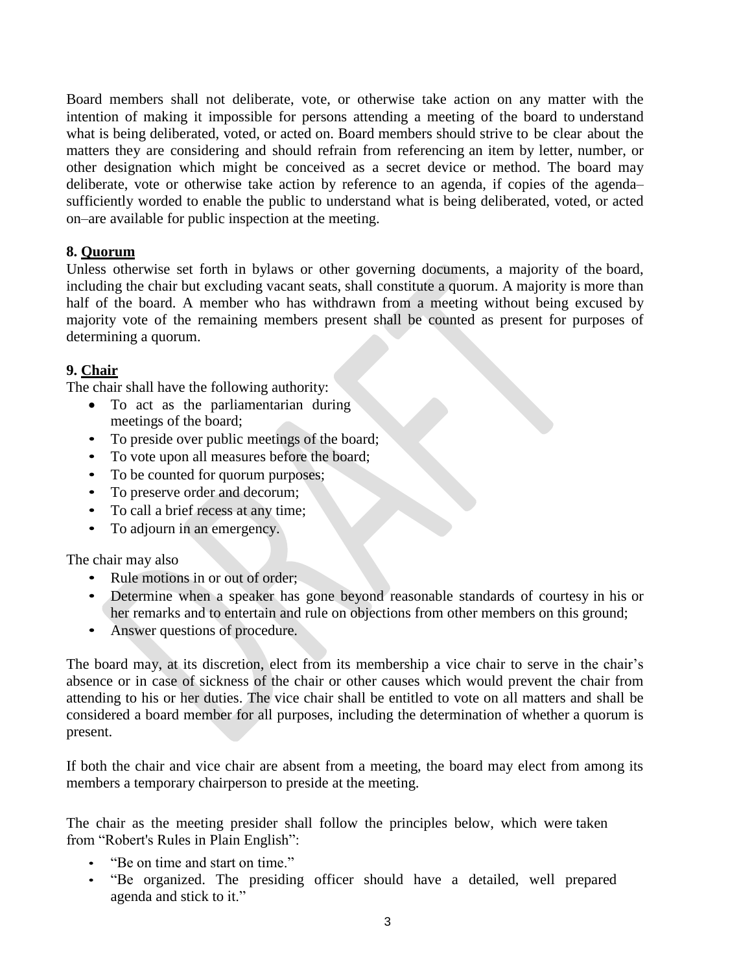Board members shall not deliberate, vote, or otherwise take action on any matter with the intention of making it impossible for persons attending a meeting of the board to understand what is being deliberated, voted, or acted on. Board members should strive to be clear about the matters they are considering and should refrain from referencing an item by letter, number, or other designation which might be conceived as a secret device or method. The board may deliberate, vote or otherwise take action by reference to an agenda, if copies of the agenda– sufficiently worded to enable the public to understand what is being deliberated, voted, or acted on–are available for public inspection at the meeting.

### **8. Quorum**

Unless otherwise set forth in bylaws or other governing documents, a majority of the board, including the chair but excluding vacant seats, shall constitute a quorum. A majority is more than half of the board. A member who has withdrawn from a meeting without being excused by majority vote of the remaining members present shall be counted as present for purposes of determining a quorum.

# **9. Chair**

The chair shall have the following authority:

- To act as the parliamentarian during meetings of the board;
- To preside over public meetings of the board;
- To vote upon all measures before the board;
- To be counted for quorum purposes;
- To preserve order and decorum;
- To call a brief recess at any time;
- To adjourn in an emergency.

### The chair may also

- Rule motions in or out of order:
- Determine when a speaker has gone beyond reasonable standards of courtesy in his or her remarks and to entertain and rule on objections from other members on this ground;
- Answer questions of procedure.

The board may, at its discretion, elect from its membership a vice chair to serve in the chair's absence or in case of sickness of the chair or other causes which would prevent the chair from attending to his or her duties. The vice chair shall be entitled to vote on all matters and shall be considered a board member for all purposes, including the determination of whether a quorum is present.

If both the chair and vice chair are absent from a meeting, the board may elect from among its members a temporary chairperson to preside at the meeting.

The chair as the meeting presider shall follow the principles below, which were taken from "Robert's Rules in Plain English":

- "Be on time and start on time."
- "Be organized. The presiding officer should have a detailed, well prepared agenda and stick to it."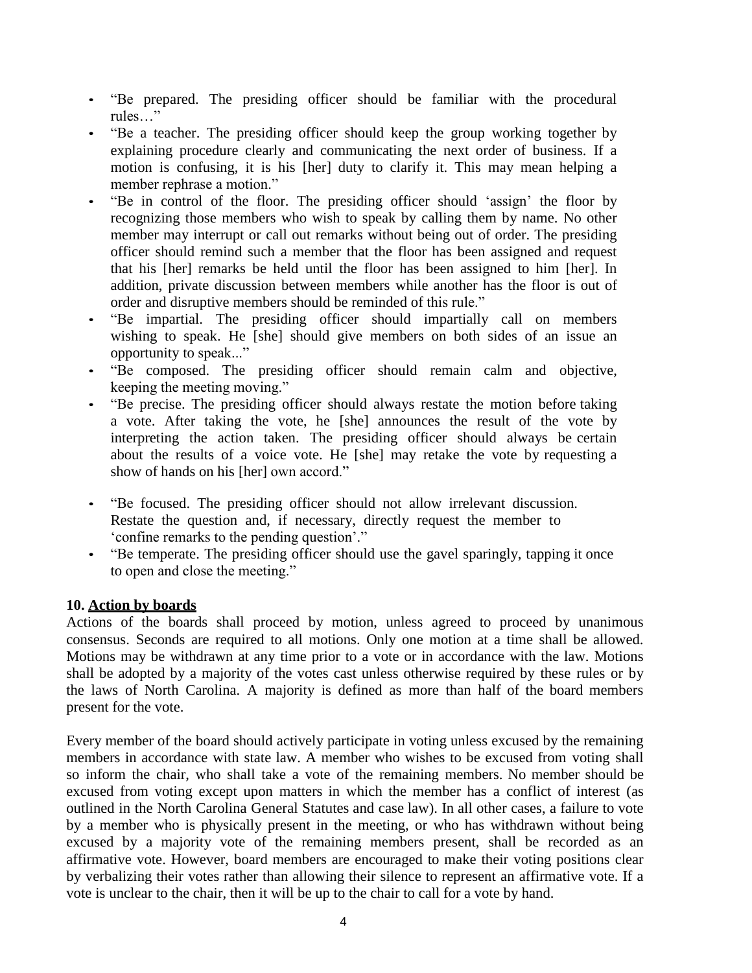- "Be prepared. The presiding officer should be familiar with the procedural rules…"
- "Be a teacher. The presiding officer should keep the group working together by explaining procedure clearly and communicating the next order of business. If a motion is confusing, it is his [her] duty to clarify it. This may mean helping a member rephrase a motion."
- "Be in control of the floor. The presiding officer should 'assign' the floor by recognizing those members who wish to speak by calling them by name. No other member may interrupt or call out remarks without being out of order. The presiding officer should remind such a member that the floor has been assigned and request that his [her] remarks be held until the floor has been assigned to him [her]. In addition, private discussion between members while another has the floor is out of order and disruptive members should be reminded of this rule."
- "Be impartial. The presiding officer should impartially call on members wishing to speak. He [she] should give members on both sides of an issue an opportunity to speak..."
- "Be composed. The presiding officer should remain calm and objective, keeping the meeting moving."
- "Be precise. The presiding officer should always restate the motion before taking a vote. After taking the vote, he [she] announces the result of the vote by interpreting the action taken. The presiding officer should always be certain about the results of a voice vote. He [she] may retake the vote by requesting a show of hands on his [her] own accord."
- "Be focused. The presiding officer should not allow irrelevant discussion. Restate the question and, if necessary, directly request the member to 'confine remarks to the pending question'."
- "Be temperate. The presiding officer should use the gavel sparingly, tapping it once to open and close the meeting."

### **10. Action by boards**

Actions of the boards shall proceed by motion, unless agreed to proceed by unanimous consensus. Seconds are required to all motions. Only one motion at a time shall be allowed. Motions may be withdrawn at any time prior to a vote or in accordance with the law. Motions shall be adopted by a majority of the votes cast unless otherwise required by these rules or by the laws of North Carolina. A majority is defined as more than half of the board members present for the vote.

Every member of the board should actively participate in voting unless excused by the remaining members in accordance with state law. A member who wishes to be excused from voting shall so inform the chair, who shall take a vote of the remaining members. No member should be excused from voting except upon matters in which the member has a conflict of interest (as outlined in the North Carolina General Statutes and case law). In all other cases, a failure to vote by a member who is physically present in the meeting, or who has withdrawn without being excused by a majority vote of the remaining members present, shall be recorded as an affirmative vote. However, board members are encouraged to make their voting positions clear by verbalizing their votes rather than allowing their silence to represent an affirmative vote. If a vote is unclear to the chair, then it will be up to the chair to call for a vote by hand.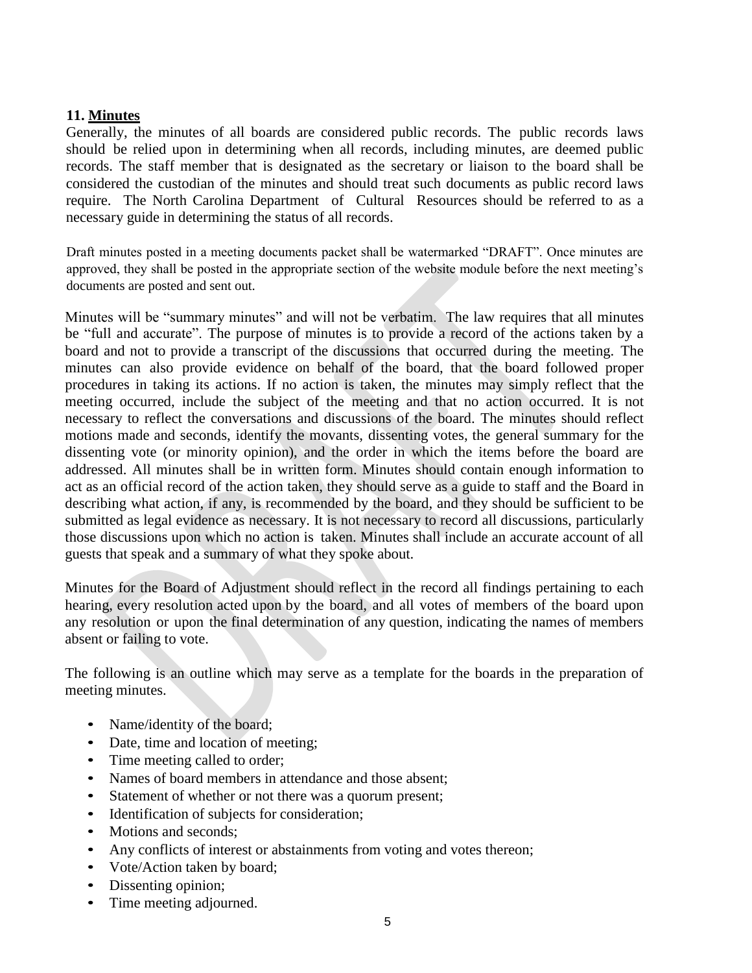# **11. Minutes**

Generally, the minutes of all boards are considered public records. The public records laws should be relied upon in determining when all records, including minutes, are deemed public records. The staff member that is designated as the secretary or liaison to the board shall be considered the custodian of the minutes and should treat such documents as public record laws require. The North Carolina Department of Cultural Resources should be referred to as a necessary guide in determining the status of all records.

Draft minutes posted in a meeting documents packet shall be watermarked "DRAFT". Once minutes are approved, they shall be posted in the appropriate section of the website module before the next meeting's documents are posted and sent out.

Minutes will be "summary minutes" and will not be verbatim. The law requires that all minutes be "full and accurate". The purpose of minutes is to provide a record of the actions taken by a board and not to provide a transcript of the discussions that occurred during the meeting. The minutes can also provide evidence on behalf of the board, that the board followed proper procedures in taking its actions. If no action is taken, the minutes may simply reflect that the meeting occurred, include the subject of the meeting and that no action occurred. It is not necessary to reflect the conversations and discussions of the board. The minutes should reflect motions made and seconds, identify the movants, dissenting votes, the general summary for the dissenting vote (or minority opinion), and the order in which the items before the board are addressed. All minutes shall be in written form. Minutes should contain enough information to act as an official record of the action taken, they should serve as a guide to staff and the Board in describing what action, if any, is recommended by the board, and they should be sufficient to be submitted as legal evidence as necessary. It is not necessary to record all discussions, particularly those discussions upon which no action is taken. Minutes shall include an accurate account of all guests that speak and a summary of what they spoke about.

Minutes for the Board of Adjustment should reflect in the record all findings pertaining to each hearing, every resolution acted upon by the board, and all votes of members of the board upon any resolution or upon the final determination of any question, indicating the names of members absent or failing to vote.

The following is an outline which may serve as a template for the boards in the preparation of meeting minutes.

- Name/identity of the board;
- Date, time and location of meeting;
- Time meeting called to order;
- Names of board members in attendance and those absent:
- Statement of whether or not there was a quorum present;
- Identification of subjects for consideration;
- Motions and seconds;
- Any conflicts of interest or abstainments from voting and votes thereon;
- Vote/Action taken by board;
- Dissenting opinion;
- Time meeting adjourned.